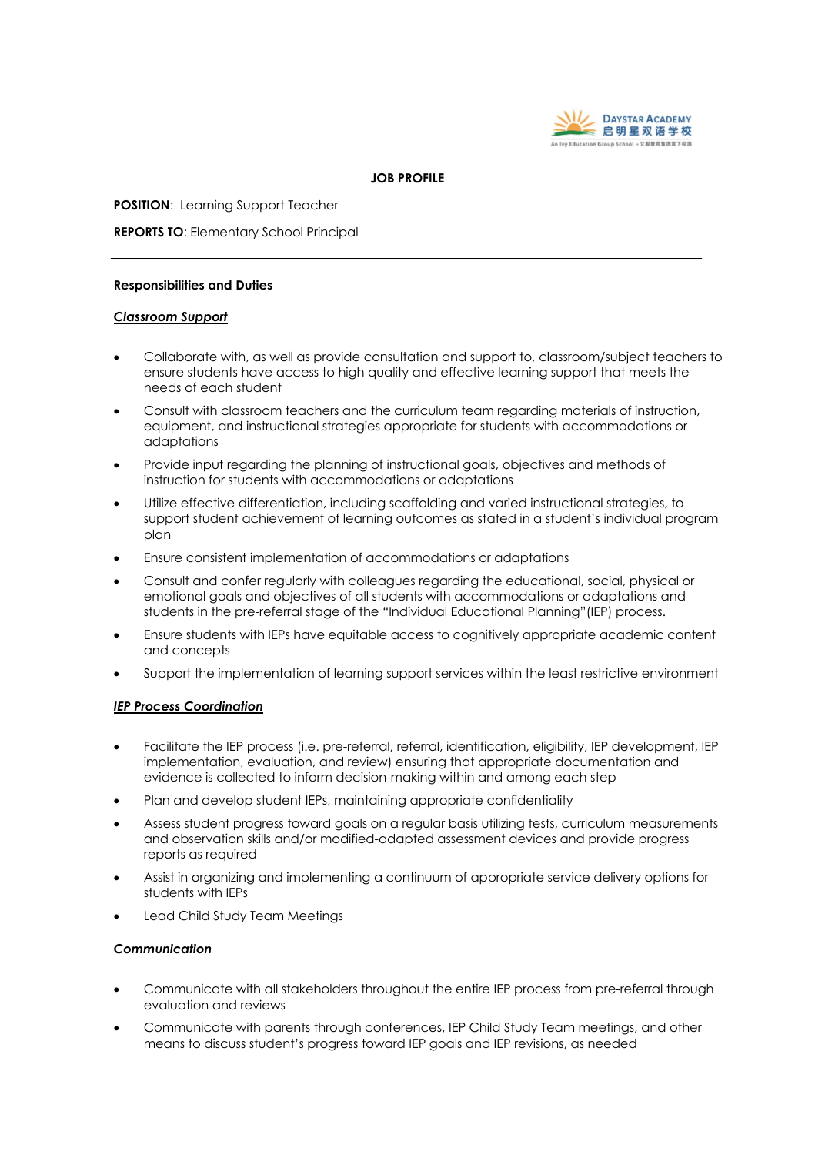

## **JOB PROFILE**

**POSITION**: Learning Support Teacher

**REPORTS TO**: Elementary School Principal

#### **Responsibilities and Duties**

## *Classroom Support*

- Collaborate with, as well as provide consultation and support to, classroom/subject teachers to ensure students have access to high quality and effective learning support that meets the needs of each student
- Consult with classroom teachers and the curriculum team regarding materials of instruction, equipment, and instructional strategies appropriate for students with accommodations or adaptations
- Provide input regarding the planning of instructional goals, objectives and methods of instruction for students with accommodations or adaptations
- Utilize effective differentiation, including scaffolding and varied instructional strategies, to support student achievement of learning outcomes as stated in a student's individual program plan
- Ensure consistent implementation of accommodations or adaptations
- Consult and confer regularly with colleagues regarding the educational, social, physical or emotional goals and objectives of all students with accommodations or adaptations and students in the pre-referral stage of the "Individual Educational Planning"(IEP) process.
- Ensure students with IEPs have equitable access to cognitively appropriate academic content and concepts
- Support the implementation of learning support services within the least restrictive environment

### *IEP Process Coordination*

- Facilitate the IEP process (i.e. pre-referral, referral, identification, eligibility, IEP development, IEP implementation, evaluation, and review) ensuring that appropriate documentation and evidence is collected to inform decision-making within and among each step
- Plan and develop student IEPs, maintaining appropriate confidentiality
- Assess student progress toward goals on a regular basis utilizing tests, curriculum measurements and observation skills and/or modified-adapted assessment devices and provide progress reports as required
- Assist in organizing and implementing a continuum of appropriate service delivery options for students with IEPs
- Lead Child Study Team Meetings

### *Communication*

- Communicate with all stakeholders throughout the entire IEP process from pre-referral through evaluation and reviews
- Communicate with parents through conferences, IEP Child Study Team meetings, and other means to discuss student's progress toward IEP goals and IEP revisions, as needed